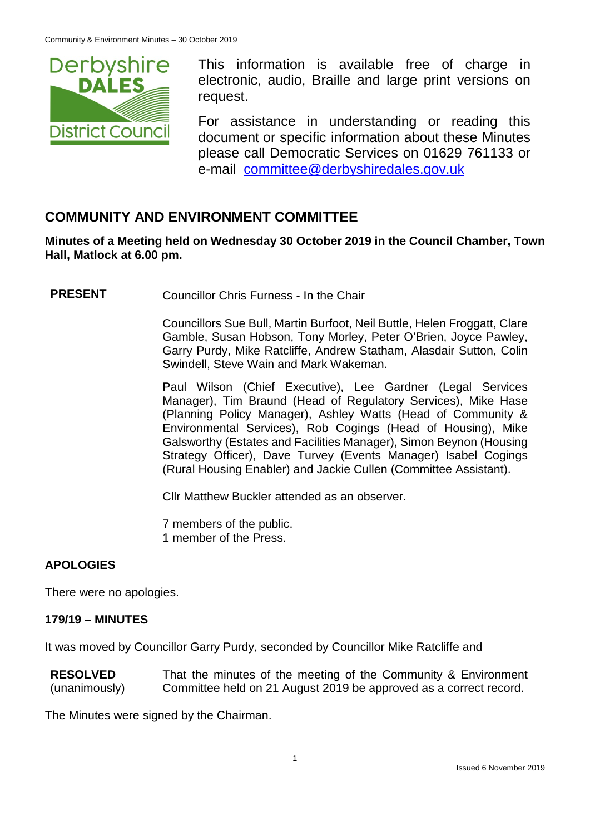

This information is available free of charge in electronic, audio, Braille and large print versions on request.

For assistance in understanding or reading this document or specific information about these Minutes please call Democratic Services on 01629 761133 or e-mail [committee@derbyshiredales.gov.uk](mailto:brian.evans@derbyshiredales.gov.uk)

# **COMMUNITY AND ENVIRONMENT COMMITTEE**

**Minutes of a Meeting held on Wednesday 30 October 2019 in the Council Chamber, Town Hall, Matlock at 6.00 pm.**

**PRESENT** Councillor Chris Furness - In the Chair

Councillors Sue Bull, Martin Burfoot, Neil Buttle, Helen Froggatt, Clare Gamble, Susan Hobson, Tony Morley, Peter O'Brien, Joyce Pawley, Garry Purdy, Mike Ratcliffe, Andrew Statham, Alasdair Sutton, Colin Swindell, Steve Wain and Mark Wakeman.

Paul Wilson (Chief Executive), Lee Gardner (Legal Services Manager), Tim Braund (Head of Regulatory Services), Mike Hase (Planning Policy Manager), Ashley Watts (Head of Community & Environmental Services), Rob Cogings (Head of Housing), Mike Galsworthy (Estates and Facilities Manager), Simon Beynon (Housing Strategy Officer), Dave Turvey (Events Manager) Isabel Cogings (Rural Housing Enabler) and Jackie Cullen (Committee Assistant).

Cllr Matthew Buckler attended as an observer.

7 members of the public. 1 member of the Press.

### **APOLOGIES**

There were no apologies.

### **179/19 – MINUTES**

It was moved by Councillor Garry Purdy, seconded by Councillor Mike Ratcliffe and

**RESOLVED** (unanimously) That the minutes of the meeting of the Community & Environment Committee held on 21 August 2019 be approved as a correct record.

The Minutes were signed by the Chairman.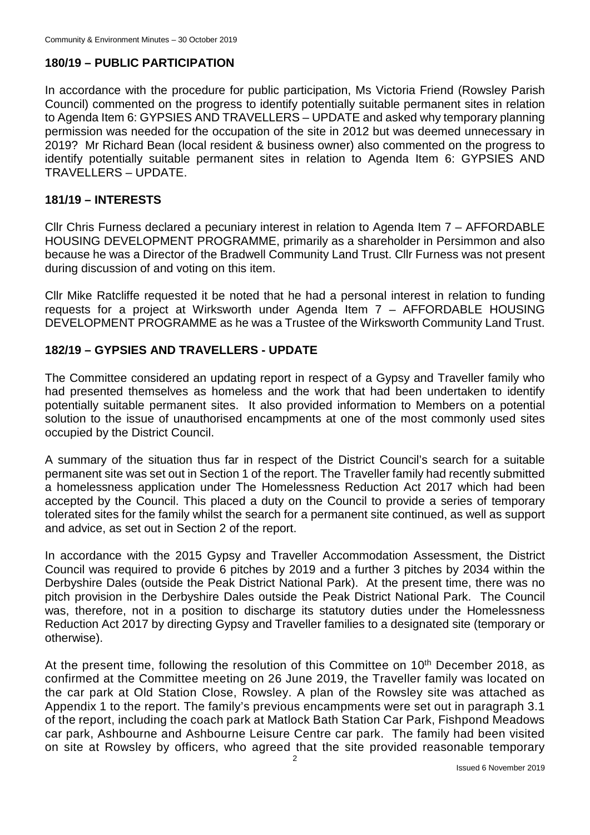# **180/19 – PUBLIC PARTICIPATION**

In accordance with the procedure for public participation, Ms Victoria Friend (Rowsley Parish Council) commented on the progress to identify potentially suitable permanent sites in relation to Agenda Item 6: GYPSIES AND TRAVELLERS – UPDATE and asked why temporary planning permission was needed for the occupation of the site in 2012 but was deemed unnecessary in 2019? Mr Richard Bean (local resident & business owner) also commented on the progress to identify potentially suitable permanent sites in relation to Agenda Item 6: GYPSIES AND TRAVELLERS – UPDATE.

#### **181/19 – INTERESTS**

Cllr Chris Furness declared a pecuniary interest in relation to Agenda Item 7 – AFFORDABLE HOUSING DEVELOPMENT PROGRAMME, primarily as a shareholder in Persimmon and also because he was a Director of the Bradwell Community Land Trust. Cllr Furness was not present during discussion of and voting on this item.

Cllr Mike Ratcliffe requested it be noted that he had a personal interest in relation to funding requests for a project at Wirksworth under Agenda Item 7 – AFFORDABLE HOUSING DEVELOPMENT PROGRAMME as he was a Trustee of the Wirksworth Community Land Trust.

### **182/19 – GYPSIES AND TRAVELLERS - UPDATE**

The Committee considered an updating report in respect of a Gypsy and Traveller family who had presented themselves as homeless and the work that had been undertaken to identify potentially suitable permanent sites. It also provided information to Members on a potential solution to the issue of unauthorised encampments at one of the most commonly used sites occupied by the District Council.

A summary of the situation thus far in respect of the District Council's search for a suitable permanent site was set out in Section 1 of the report. The Traveller family had recently submitted a homelessness application under The Homelessness Reduction Act 2017 which had been accepted by the Council. This placed a duty on the Council to provide a series of temporary tolerated sites for the family whilst the search for a permanent site continued, as well as support and advice, as set out in Section 2 of the report.

In accordance with the 2015 Gypsy and Traveller Accommodation Assessment, the District Council was required to provide 6 pitches by 2019 and a further 3 pitches by 2034 within the Derbyshire Dales (outside the Peak District National Park). At the present time, there was no pitch provision in the Derbyshire Dales outside the Peak District National Park. The Council was, therefore, not in a position to discharge its statutory duties under the Homelessness Reduction Act 2017 by directing Gypsy and Traveller families to a designated site (temporary or otherwise).

At the present time, following the resolution of this Committee on  $10<sup>th</sup>$  December 2018, as confirmed at the Committee meeting on 26 June 2019, the Traveller family was located on the car park at Old Station Close, Rowsley. A plan of the Rowsley site was attached as Appendix 1 to the report. The family's previous encampments were set out in paragraph 3.1 of the report, including the coach park at Matlock Bath Station Car Park, Fishpond Meadows car park, Ashbourne and Ashbourne Leisure Centre car park. The family had been visited on site at Rowsley by officers, who agreed that the site provided reasonable temporary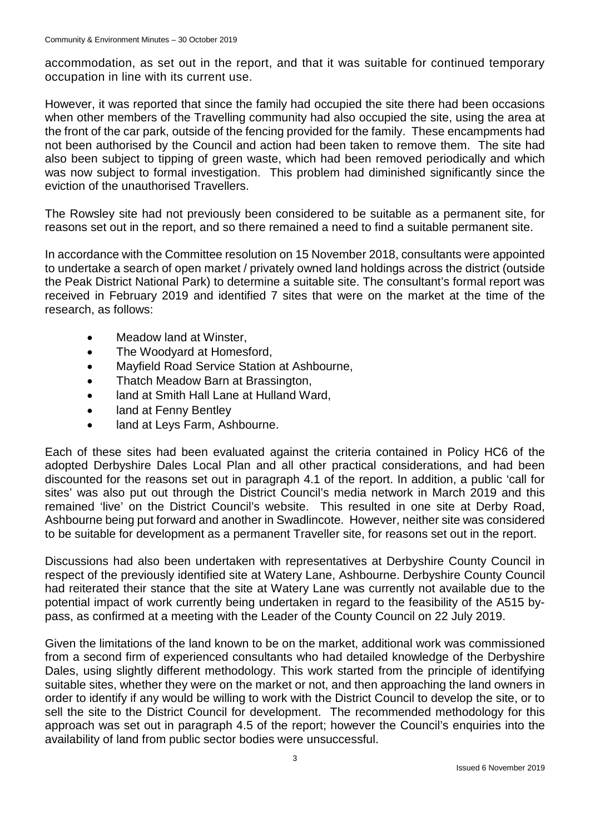accommodation, as set out in the report, and that it was suitable for continued temporary occupation in line with its current use.

However, it was reported that since the family had occupied the site there had been occasions when other members of the Travelling community had also occupied the site, using the area at the front of the car park, outside of the fencing provided for the family. These encampments had not been authorised by the Council and action had been taken to remove them. The site had also been subject to tipping of green waste, which had been removed periodically and which was now subject to formal investigation. This problem had diminished significantly since the eviction of the unauthorised Travellers.

The Rowsley site had not previously been considered to be suitable as a permanent site, for reasons set out in the report, and so there remained a need to find a suitable permanent site.

In accordance with the Committee resolution on 15 November 2018, consultants were appointed to undertake a search of open market / privately owned land holdings across the district (outside the Peak District National Park) to determine a suitable site. The consultant's formal report was received in February 2019 and identified 7 sites that were on the market at the time of the research, as follows:

- Meadow land at Winster,
- The Woodyard at Homesford,
- Mayfield Road Service Station at Ashbourne,
- Thatch Meadow Barn at Brassington,
- land at Smith Hall Lane at Hulland Ward,
- land at Fenny Bentley
- land at Leys Farm, Ashbourne.

Each of these sites had been evaluated against the criteria contained in Policy HC6 of the adopted Derbyshire Dales Local Plan and all other practical considerations, and had been discounted for the reasons set out in paragraph 4.1 of the report. In addition, a public 'call for sites' was also put out through the District Council's media network in March 2019 and this remained 'live' on the District Council's website. This resulted in one site at Derby Road, Ashbourne being put forward and another in Swadlincote. However, neither site was considered to be suitable for development as a permanent Traveller site, for reasons set out in the report.

Discussions had also been undertaken with representatives at Derbyshire County Council in respect of the previously identified site at Watery Lane, Ashbourne. Derbyshire County Council had reiterated their stance that the site at Watery Lane was currently not available due to the potential impact of work currently being undertaken in regard to the feasibility of the A515 bypass, as confirmed at a meeting with the Leader of the County Council on 22 July 2019.

Given the limitations of the land known to be on the market, additional work was commissioned from a second firm of experienced consultants who had detailed knowledge of the Derbyshire Dales, using slightly different methodology. This work started from the principle of identifying suitable sites, whether they were on the market or not, and then approaching the land owners in order to identify if any would be willing to work with the District Council to develop the site, or to sell the site to the District Council for development. The recommended methodology for this approach was set out in paragraph 4.5 of the report; however the Council's enquiries into the availability of land from public sector bodies were unsuccessful.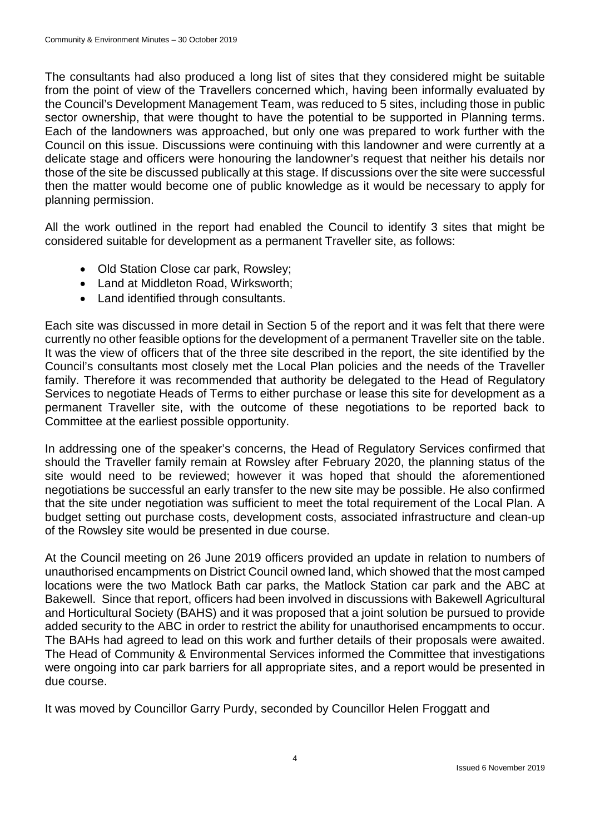The consultants had also produced a long list of sites that they considered might be suitable from the point of view of the Travellers concerned which, having been informally evaluated by the Council's Development Management Team, was reduced to 5 sites, including those in public sector ownership, that were thought to have the potential to be supported in Planning terms. Each of the landowners was approached, but only one was prepared to work further with the Council on this issue. Discussions were continuing with this landowner and were currently at a delicate stage and officers were honouring the landowner's request that neither his details nor those of the site be discussed publically at this stage. If discussions over the site were successful then the matter would become one of public knowledge as it would be necessary to apply for planning permission.

All the work outlined in the report had enabled the Council to identify 3 sites that might be considered suitable for development as a permanent Traveller site, as follows:

- Old Station Close car park, Rowsley;
- Land at Middleton Road, Wirksworth;
- Land identified through consultants.

Each site was discussed in more detail in Section 5 of the report and it was felt that there were currently no other feasible options for the development of a permanent Traveller site on the table. It was the view of officers that of the three site described in the report, the site identified by the Council's consultants most closely met the Local Plan policies and the needs of the Traveller family. Therefore it was recommended that authority be delegated to the Head of Regulatory Services to negotiate Heads of Terms to either purchase or lease this site for development as a permanent Traveller site, with the outcome of these negotiations to be reported back to Committee at the earliest possible opportunity.

In addressing one of the speaker's concerns, the Head of Regulatory Services confirmed that should the Traveller family remain at Rowsley after February 2020, the planning status of the site would need to be reviewed; however it was hoped that should the aforementioned negotiations be successful an early transfer to the new site may be possible. He also confirmed that the site under negotiation was sufficient to meet the total requirement of the Local Plan. A budget setting out purchase costs, development costs, associated infrastructure and clean-up of the Rowsley site would be presented in due course.

At the Council meeting on 26 June 2019 officers provided an update in relation to numbers of unauthorised encampments on District Council owned land, which showed that the most camped locations were the two Matlock Bath car parks, the Matlock Station car park and the ABC at Bakewell. Since that report, officers had been involved in discussions with Bakewell Agricultural and Horticultural Society (BAHS) and it was proposed that a joint solution be pursued to provide added security to the ABC in order to restrict the ability for unauthorised encampments to occur. The BAHs had agreed to lead on this work and further details of their proposals were awaited. The Head of Community & Environmental Services informed the Committee that investigations were ongoing into car park barriers for all appropriate sites, and a report would be presented in due course.

It was moved by Councillor Garry Purdy, seconded by Councillor Helen Froggatt and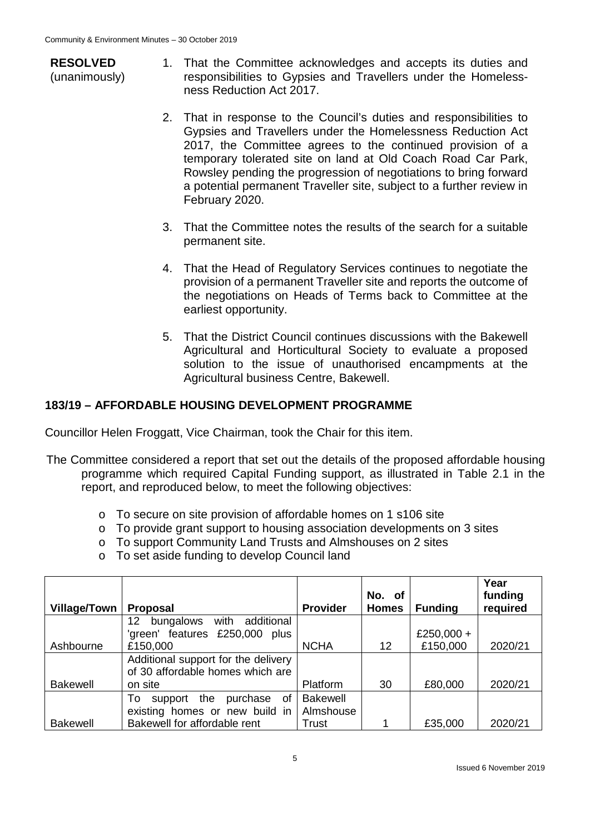- **RESOLVED** (unanimously)
- 1. That the Committee acknowledges and accepts its duties and responsibilities to Gypsies and Travellers under the Homelessness Reduction Act 2017.
- 2. That in response to the Council's duties and responsibilities to Gypsies and Travellers under the Homelessness Reduction Act 2017, the Committee agrees to the continued provision of a temporary tolerated site on land at Old Coach Road Car Park, Rowsley pending the progression of negotiations to bring forward a potential permanent Traveller site, subject to a further review in February 2020.
- 3. That the Committee notes the results of the search for a suitable permanent site.
- 4. That the Head of Regulatory Services continues to negotiate the provision of a permanent Traveller site and reports the outcome of the negotiations on Heads of Terms back to Committee at the earliest opportunity.
- 5. That the District Council continues discussions with the Bakewell Agricultural and Horticultural Society to evaluate a proposed solution to the issue of unauthorised encampments at the Agricultural business Centre, Bakewell.

# **183/19 – AFFORDABLE HOUSING DEVELOPMENT PROGRAMME**

Councillor Helen Froggatt, Vice Chairman, took the Chair for this item.

- The Committee considered a report that set out the details of the proposed affordable housing programme which required Capital Funding support, as illustrated in Table 2.1 in the report, and reproduced below, to meet the following objectives:
	- o To secure on site provision of affordable homes on 1 s106 site
	- o To provide grant support to housing association developments on 3 sites
	- o To support Community Land Trusts and Almshouses on 2 sites
	- o To set aside funding to develop Council land

| <b>Village/Town</b> | <b>Proposal</b>                                                         | <b>Provider</b> | No. of<br><b>Homes</b> | <b>Funding</b> | Year<br>funding<br>required |
|---------------------|-------------------------------------------------------------------------|-----------------|------------------------|----------------|-----------------------------|
|                     | additional<br>with<br>12<br>bungalows                                   |                 |                        |                |                             |
|                     | 'green' features £250,000<br>plus                                       |                 |                        | £250,000 +     |                             |
| Ashbourne           | £150,000                                                                | <b>NCHA</b>     | 12                     | £150,000       | 2020/21                     |
|                     | Additional support for the delivery<br>of 30 affordable homes which are |                 |                        |                |                             |
| <b>Bakewell</b>     | on site                                                                 | <b>Platform</b> | 30                     | £80,000        | 2020/21                     |
|                     | support the<br>purchase of<br>To                                        | <b>Bakewell</b> |                        |                |                             |
|                     | existing homes or new build in                                          | Almshouse       |                        |                |                             |
| <b>Bakewell</b>     | Bakewell for affordable rent                                            | Trust           |                        | £35,000        | 2020/21                     |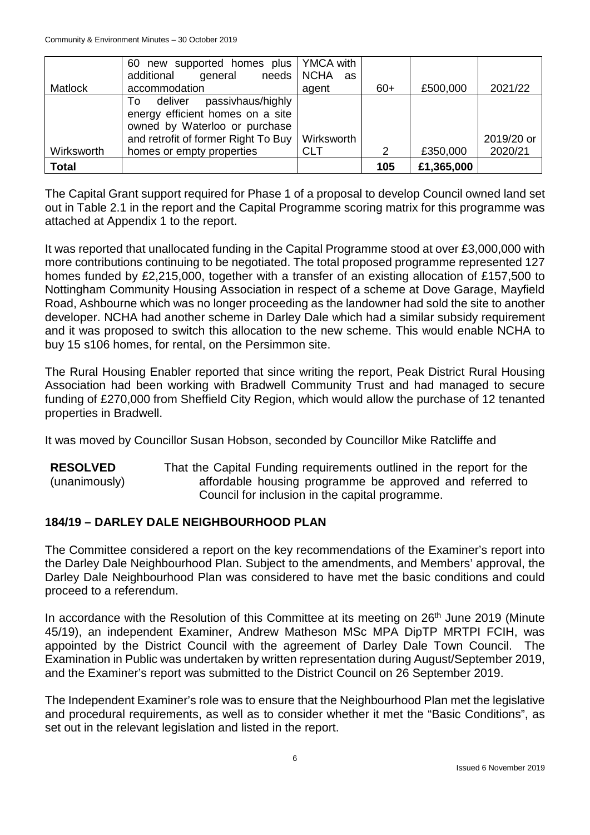|                | 60 new supported homes plus   YMCA with<br>general<br>additional<br>needs                                                                       | <b>NCHA</b><br>as |       |            |            |
|----------------|-------------------------------------------------------------------------------------------------------------------------------------------------|-------------------|-------|------------|------------|
| <b>Matlock</b> | accommodation                                                                                                                                   | agent             | $60+$ | £500,000   | 2021/22    |
|                | passivhaus/highly<br>deliver<br>To:<br>energy efficient homes on a site<br>owned by Waterloo or purchase<br>and retrofit of former Right To Buy | Wirksworth        |       |            | 2019/20 or |
| Wirksworth     | homes or empty properties                                                                                                                       | <b>CLT</b>        | 2     | £350,000   | 2020/21    |
| <b>Total</b>   |                                                                                                                                                 |                   | 105   | £1,365,000 |            |

The Capital Grant support required for Phase 1 of a proposal to develop Council owned land set out in Table 2.1 in the report and the Capital Programme scoring matrix for this programme was attached at Appendix 1 to the report.

It was reported that unallocated funding in the Capital Programme stood at over £3,000,000 with more contributions continuing to be negotiated. The total proposed programme represented 127 homes funded by £2,215,000, together with a transfer of an existing allocation of £157,500 to Nottingham Community Housing Association in respect of a scheme at Dove Garage, Mayfield Road, Ashbourne which was no longer proceeding as the landowner had sold the site to another developer. NCHA had another scheme in Darley Dale which had a similar subsidy requirement and it was proposed to switch this allocation to the new scheme. This would enable NCHA to buy 15 s106 homes, for rental, on the Persimmon site.

The Rural Housing Enabler reported that since writing the report, Peak District Rural Housing Association had been working with Bradwell Community Trust and had managed to secure funding of £270,000 from Sheffield City Region, which would allow the purchase of 12 tenanted properties in Bradwell.

It was moved by Councillor Susan Hobson, seconded by Councillor Mike Ratcliffe and

**RESOLVED** (unanimously) That the Capital Funding requirements outlined in the report for the affordable housing programme be approved and referred to Council for inclusion in the capital programme.

# **184/19 – DARLEY DALE NEIGHBOURHOOD PLAN**

The Committee considered a report on the key recommendations of the Examiner's report into the Darley Dale Neighbourhood Plan. Subject to the amendments, and Members' approval, the Darley Dale Neighbourhood Plan was considered to have met the basic conditions and could proceed to a referendum.

In accordance with the Resolution of this Committee at its meeting on 26<sup>th</sup> June 2019 (Minute 45/19), an independent Examiner, Andrew Matheson MSc MPA DipTP MRTPI FCIH, was appointed by the District Council with the agreement of Darley Dale Town Council. The Examination in Public was undertaken by written representation during August/September 2019, and the Examiner's report was submitted to the District Council on 26 September 2019.

The Independent Examiner's role was to ensure that the Neighbourhood Plan met the legislative and procedural requirements, as well as to consider whether it met the "Basic Conditions", as set out in the relevant legislation and listed in the report.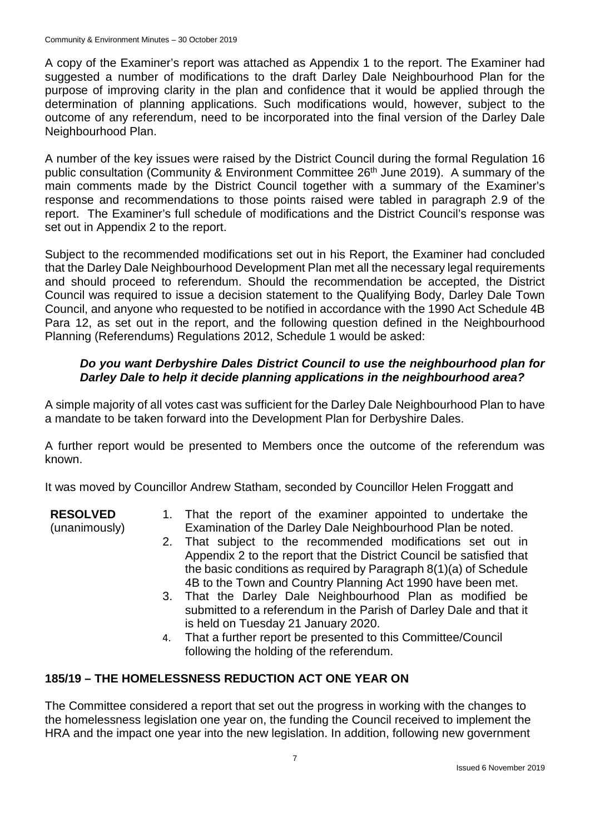A copy of the Examiner's report was attached as Appendix 1 to the report. The Examiner had suggested a number of modifications to the draft Darley Dale Neighbourhood Plan for the purpose of improving clarity in the plan and confidence that it would be applied through the determination of planning applications. Such modifications would, however, subject to the outcome of any referendum, need to be incorporated into the final version of the Darley Dale Neighbourhood Plan.

A number of the key issues were raised by the District Council during the formal Regulation 16 public consultation (Community & Environment Committee 26<sup>th</sup> June 2019). A summary of the main comments made by the District Council together with a summary of the Examiner's response and recommendations to those points raised were tabled in paragraph 2.9 of the report. The Examiner's full schedule of modifications and the District Council's response was set out in Appendix 2 to the report.

Subject to the recommended modifications set out in his Report, the Examiner had concluded that the Darley Dale Neighbourhood Development Plan met all the necessary legal requirements and should proceed to referendum. Should the recommendation be accepted, the District Council was required to issue a decision statement to the Qualifying Body, Darley Dale Town Council, and anyone who requested to be notified in accordance with the 1990 Act Schedule 4B Para 12, as set out in the report, and the following question defined in the Neighbourhood Planning (Referendums) Regulations 2012, Schedule 1 would be asked:

# *Do you want Derbyshire Dales District Council to use the neighbourhood plan for Darley Dale to help it decide planning applications in the neighbourhood area?*

A simple majority of all votes cast was sufficient for the Darley Dale Neighbourhood Plan to have a mandate to be taken forward into the Development Plan for Derbyshire Dales.

A further report would be presented to Members once the outcome of the referendum was known.

It was moved by Councillor Andrew Statham, seconded by Councillor Helen Froggatt and

**RESOLVED**

- (unanimously)
- 1. That the report of the examiner appointed to undertake the Examination of the Darley Dale Neighbourhood Plan be noted.
- 2. That subject to the recommended modifications set out in Appendix 2 to the report that the District Council be satisfied that the basic conditions as required by Paragraph 8(1)(a) of Schedule 4B to the Town and Country Planning Act 1990 have been met.
- 3. That the Darley Dale Neighbourhood Plan as modified be submitted to a referendum in the Parish of Darley Dale and that it is held on Tuesday 21 January 2020.
- 4. That a further report be presented to this Committee/Council following the holding of the referendum.

# **185/19 – THE HOMELESSNESS REDUCTION ACT ONE YEAR ON**

The Committee considered a report that set out the progress in working with the changes to the homelessness legislation one year on, the funding the Council received to implement the HRA and the impact one year into the new legislation. In addition, following new government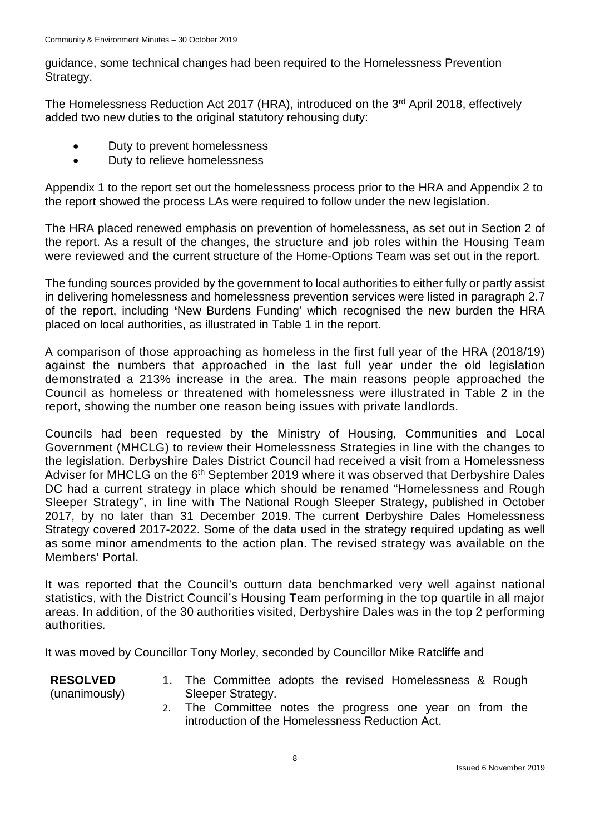guidance, some technical changes had been required to the Homelessness Prevention Strategy.

The Homelessness Reduction Act 2017 (HRA), introduced on the 3<sup>rd</sup> April 2018, effectively added two new duties to the original statutory rehousing duty:

- Duty to prevent homelessness
- Duty to relieve homelessness

Appendix 1 to the report set out the homelessness process prior to the HRA and Appendix 2 to the report showed the process LAs were required to follow under the new legislation.

The HRA placed renewed emphasis on prevention of homelessness, as set out in Section 2 of the report. As a result of the changes, the structure and job roles within the Housing Team were reviewed and the current structure of the Home-Options Team was set out in the report.

The funding sources provided by the government to local authorities to either fully or partly assist in delivering homelessness and homelessness prevention services were listed in paragraph 2.7 of the report, including **'**New Burdens Funding' which recognised the new burden the HRA placed on local authorities, as illustrated in Table 1 in the report.

A comparison of those approaching as homeless in the first full year of the HRA (2018/19) against the numbers that approached in the last full year under the old legislation demonstrated a 213% increase in the area. The main reasons people approached the Council as homeless or threatened with homelessness were illustrated in Table 2 in the report, showing the number one reason being issues with private landlords.

Councils had been requested by the Ministry of Housing, Communities and Local Government (MHCLG) to review their Homelessness Strategies in line with the changes to the legislation. Derbyshire Dales District Council had received a visit from a Homelessness Adviser for MHCLG on the 6<sup>th</sup> September 2019 where it was observed that Derbyshire Dales DC had a current strategy in place which should be renamed "Homelessness and Rough Sleeper Strategy", in line with The National Rough Sleeper Strategy, published in October 2017, by no later than 31 December 2019. The current Derbyshire Dales Homelessness Strategy covered 2017-2022. Some of the data used in the strategy required updating as well as some minor amendments to the action plan. The revised strategy was available on the Members' Portal.

It was reported that the Council's outturn data benchmarked very well against national statistics, with the District Council's Housing Team performing in the top quartile in all major areas. In addition, of the 30 authorities visited, Derbyshire Dales was in the top 2 performing authorities*.* 

It was moved by Councillor Tony Morley, seconded by Councillor Mike Ratcliffe and

**RESOLVED** (unanimously)

- 1. The Committee adopts the revised Homelessness & Rough Sleeper Strategy.
	- 2. The Committee notes the progress one year on from the introduction of the Homelessness Reduction Act.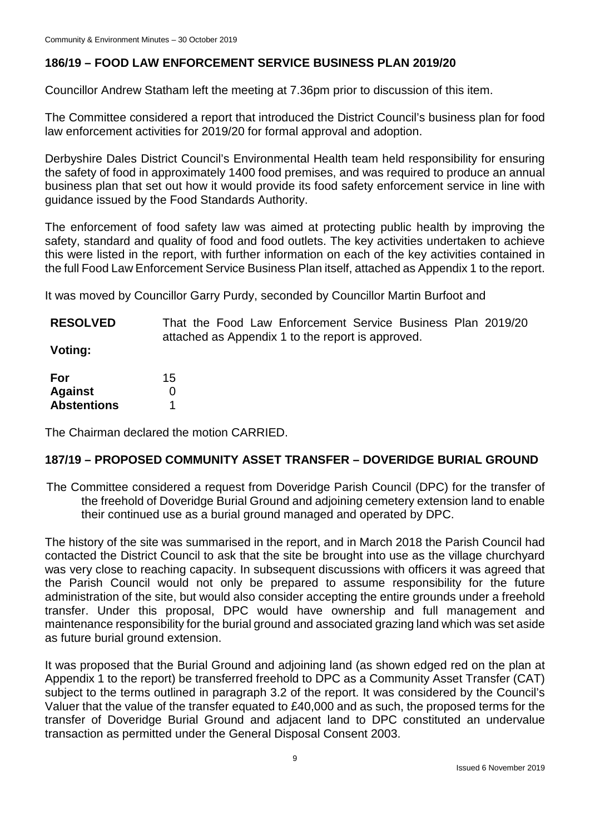# **186/19 – FOOD LAW ENFORCEMENT SERVICE BUSINESS PLAN 2019/20**

Councillor Andrew Statham left the meeting at 7.36pm prior to discussion of this item.

The Committee considered a report that introduced the District Council's business plan for food law enforcement activities for 2019/20 for formal approval and adoption.

Derbyshire Dales District Council's Environmental Health team held responsibility for ensuring the safety of food in approximately 1400 food premises, and was required to produce an annual business plan that set out how it would provide its food safety enforcement service in line with guidance issued by the Food Standards Authority.

The enforcement of food safety law was aimed at protecting public health by improving the safety, standard and quality of food and food outlets. The key activities undertaken to achieve this were listed in the report, with further information on each of the key activities contained in the full Food Law Enforcement Service Business Plan itself, attached as Appendix 1 to the report.

It was moved by Councillor Garry Purdy, seconded by Councillor Martin Burfoot and

**RESOLVED** That the Food Law Enforcement Service Business Plan 2019/20 attached as Appendix 1 to the report is approved.

**Voting:**

| For                | 15 |
|--------------------|----|
| Against            | O  |
| <b>Abstentions</b> |    |

The Chairman declared the motion CARRIED.

# **187/19 – PROPOSED COMMUNITY ASSET TRANSFER – DOVERIDGE BURIAL GROUND**

The Committee considered a request from Doveridge Parish Council (DPC) for the transfer of the freehold of Doveridge Burial Ground and adjoining cemetery extension land to enable their continued use as a burial ground managed and operated by DPC.

The history of the site was summarised in the report, and in March 2018 the Parish Council had contacted the District Council to ask that the site be brought into use as the village churchyard was very close to reaching capacity. In subsequent discussions with officers it was agreed that the Parish Council would not only be prepared to assume responsibility for the future administration of the site, but would also consider accepting the entire grounds under a freehold transfer. Under this proposal, DPC would have ownership and full management and maintenance responsibility for the burial ground and associated grazing land which was set aside as future burial ground extension.

It was proposed that the Burial Ground and adjoining land (as shown edged red on the plan at Appendix 1 to the report) be transferred freehold to DPC as a Community Asset Transfer (CAT) subject to the terms outlined in paragraph 3.2 of the report. It was considered by the Council's Valuer that the value of the transfer equated to £40,000 and as such, the proposed terms for the transfer of Doveridge Burial Ground and adjacent land to DPC constituted an undervalue transaction as permitted under the General Disposal Consent 2003.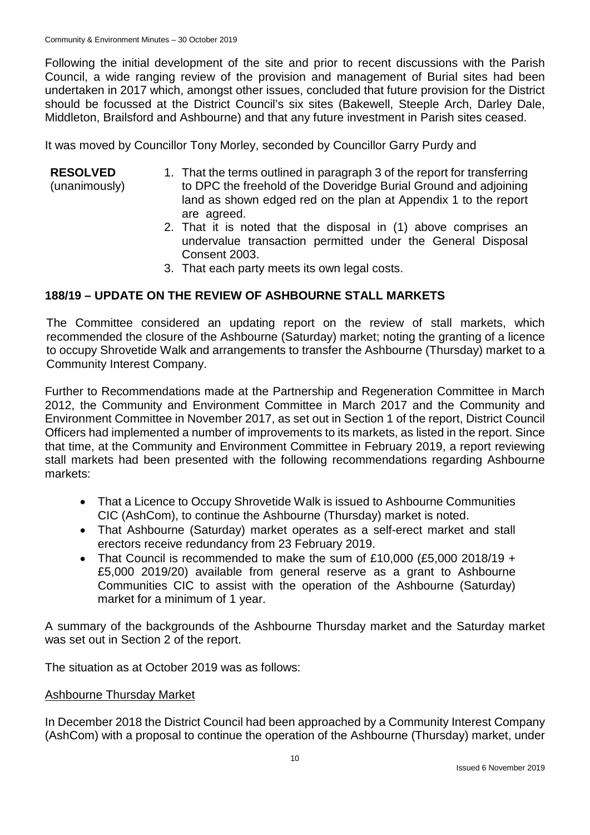Following the initial development of the site and prior to recent discussions with the Parish Council, a wide ranging review of the provision and management of Burial sites had been undertaken in 2017 which, amongst other issues, concluded that future provision for the District should be focussed at the District Council's six sites (Bakewell, Steeple Arch, Darley Dale, Middleton, Brailsford and Ashbourne) and that any future investment in Parish sites ceased.

It was moved by Councillor Tony Morley, seconded by Councillor Garry Purdy and

| <b>RESOLVED</b><br>(unanimously) | 1. That the terms outlined in paragraph 3 of the report for transferring<br>to DPC the freehold of the Doveridge Burial Ground and adjoining<br>land as shown edged red on the plan at Appendix 1 to the report |
|----------------------------------|-----------------------------------------------------------------------------------------------------------------------------------------------------------------------------------------------------------------|
|                                  | are agreed.<br>2. That it is noted that the disposal in (1) above comprises an                                                                                                                                  |

- 2. That it is noted that the disposal in (1) above comprises an undervalue transaction permitted under the General Disposal Consent 2003.
- 3. That each party meets its own legal costs.

# **188/19 – UPDATE ON THE REVIEW OF ASHBOURNE STALL MARKETS**

The Committee considered an updating report on the review of stall markets, which recommended the closure of the Ashbourne (Saturday) market; noting the granting of a licence to occupy Shrovetide Walk and arrangements to transfer the Ashbourne (Thursday) market to a Community Interest Company.

Further to Recommendations made at the Partnership and Regeneration Committee in March 2012, the Community and Environment Committee in March 2017 and the Community and Environment Committee in November 2017, as set out in Section 1 of the report, District Council Officers had implemented a number of improvements to its markets, as listed in the report. Since that time, at the Community and Environment Committee in February 2019, a report reviewing stall markets had been presented with the following recommendations regarding Ashbourne markets:

- That a Licence to Occupy Shrovetide Walk is issued to Ashbourne Communities CIC (AshCom), to continue the Ashbourne (Thursday) market is noted.
- That Ashbourne (Saturday) market operates as a self-erect market and stall erectors receive redundancy from 23 February 2019.
- That Council is recommended to make the sum of £10,000 (£5,000 2018/19 + £5,000 2019/20) available from general reserve as a grant to Ashbourne Communities CIC to assist with the operation of the Ashbourne (Saturday) market for a minimum of 1 year.

A summary of the backgrounds of the Ashbourne Thursday market and the Saturday market was set out in Section 2 of the report.

The situation as at October 2019 was as follows:

### Ashbourne Thursday Market

In December 2018 the District Council had been approached by a Community Interest Company (AshCom) with a proposal to continue the operation of the Ashbourne (Thursday) market, under